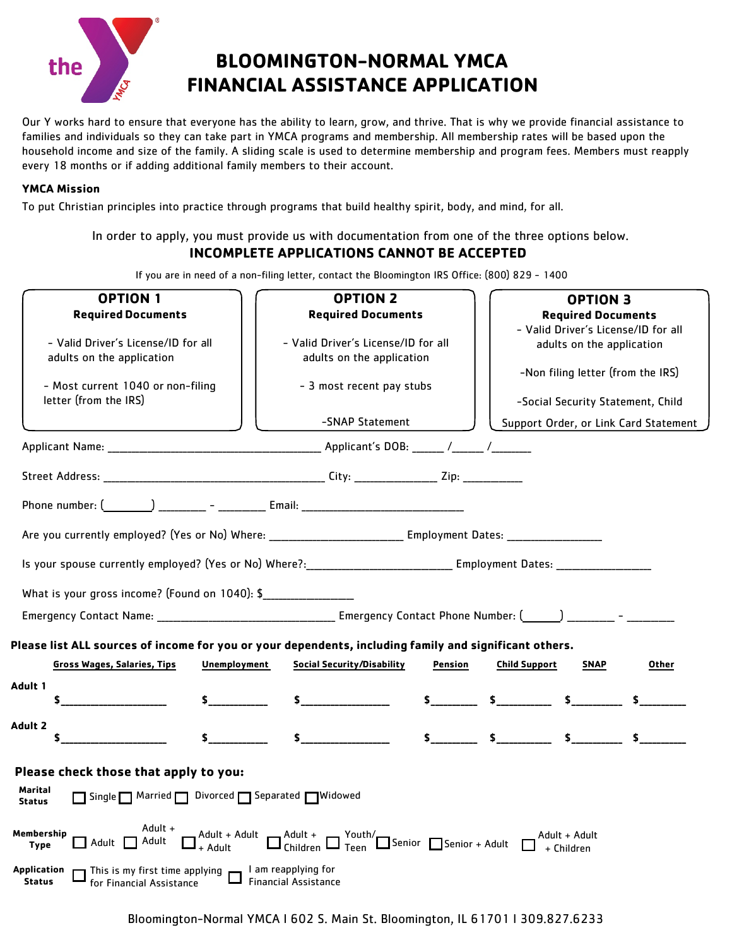

# **BLOOMINGTON-NORMAL YMCA FINANCIAL ASSISTANCE APPLICATION**

Our Y works hard to ensure that everyone has the ability to learn, grow, and thrive. That is why we provide financial assistance to families and individuals so they can take part in YMCA programs and membership. All membership rates will be based upon the household income and size of the family. A sliding scale is used to determine membership and program fees. Members must reapply every 18 months or if adding additional family members to their account.

#### **YMCA Mission**

To put Christian principles into practice through programs that build healthy spirit, body, and mind, for all.

### In order to apply, you must provide us with documentation from one of the three options below. **INCOMPLETE APPLICATIONS CANNOT BE ACCEPTED**

If you are in need of a non-filing letter, contact the Bloomington IRS Office: (800) 829 - 1400

| <b>OPTION 1</b><br><b>Required Documents</b>                                                                                                                      |              | <b>OPTION 2</b><br><b>Required Documents</b>                                                                                                                                                                                                                                       |         | <b>OPTION 3</b><br><b>Required Documents</b><br>- Valid Driver's License/ID for all |                           |                                                                        |
|-------------------------------------------------------------------------------------------------------------------------------------------------------------------|--------------|------------------------------------------------------------------------------------------------------------------------------------------------------------------------------------------------------------------------------------------------------------------------------------|---------|-------------------------------------------------------------------------------------|---------------------------|------------------------------------------------------------------------|
| - Valid Driver's License/ID for all<br>adults on the application                                                                                                  |              | - Valid Driver's License/ID for all<br>adults on the application                                                                                                                                                                                                                   |         |                                                                                     | adults on the application |                                                                        |
| - Most current 1040 or non-filing<br>letter (from the IRS)                                                                                                        |              | - 3 most recent pay stubs                                                                                                                                                                                                                                                          |         |                                                                                     |                           | -Non filing letter (from the IRS)<br>-Social Security Statement, Child |
|                                                                                                                                                                   |              | -SNAP Statement                                                                                                                                                                                                                                                                    |         |                                                                                     |                           | Support Order, or Link Card Statement                                  |
|                                                                                                                                                                   |              |                                                                                                                                                                                                                                                                                    |         |                                                                                     |                           |                                                                        |
|                                                                                                                                                                   |              |                                                                                                                                                                                                                                                                                    |         |                                                                                     |                           |                                                                        |
| Phone number: $\begin{pmatrix} 0 & 1 \\ 0 & 1 \end{pmatrix}$ $\begin{pmatrix} - & 1 \\ - & 1 \end{pmatrix}$ Email: $\begin{pmatrix} 0 & 0 \\ 0 & 1 \end{pmatrix}$ |              |                                                                                                                                                                                                                                                                                    |         |                                                                                     |                           |                                                                        |
|                                                                                                                                                                   |              |                                                                                                                                                                                                                                                                                    |         |                                                                                     |                           |                                                                        |
|                                                                                                                                                                   |              |                                                                                                                                                                                                                                                                                    |         |                                                                                     |                           |                                                                        |
| What is your gross income? (Found on 1040): \$                                                                                                                    |              |                                                                                                                                                                                                                                                                                    |         |                                                                                     |                           |                                                                        |
|                                                                                                                                                                   |              |                                                                                                                                                                                                                                                                                    |         |                                                                                     |                           |                                                                        |
| Please list ALL sources of income for you or your dependents, including family and significant others.                                                            |              |                                                                                                                                                                                                                                                                                    |         |                                                                                     |                           |                                                                        |
| <b>Gross Wages, Salaries, Tips</b>                                                                                                                                | Unemployment | <b>Social Security/Disability</b>                                                                                                                                                                                                                                                  | Pension | <b>Child Support</b>                                                                | <b>SNAP</b>               | Other                                                                  |
| Adult 1<br>\$.                                                                                                                                                    | $\sim$       |                                                                                                                                                                                                                                                                                    |         | $\begin{array}{ccc} 5 & & 5 & & 5 \end{array}$                                      |                           |                                                                        |
| Adult 2                                                                                                                                                           |              | $\sim$                                                                                                                                                                                                                                                                             |         | $\sim$ $\sim$ $\sim$ $\sim$                                                         | $\sim$                    |                                                                        |
| Please check those that apply to you:                                                                                                                             |              |                                                                                                                                                                                                                                                                                    |         |                                                                                     |                           |                                                                        |
| Marital<br>□ Single □ Married □ Divorced □ Separated □ Widowed<br><b>Status</b>                                                                                   |              |                                                                                                                                                                                                                                                                                    |         |                                                                                     |                           |                                                                        |
| Adult +<br>Membership<br>$\Box$ Adult $\Box$ Adult<br><b>Type</b>                                                                                                 |              | $\boxed{\Box}^{\text{Adult + Adult}}_{\text{+ Adult}} \ \boxed{\Box}^{\text{Adult +}}_{\text{Children}} \ \boxed{\Box}^{\text{Youth}}_{\text{Ten}} \ \boxed{\Box}^{\text{Senior}} \ \boxed{\Box}^{\text{Senior + Adult}} \ \boxed{\Box}^{\text{Adult + Adul}}_{\text{+ Children}}$ |         |                                                                                     | Adult + Adult             |                                                                        |
| <b>Application</b><br>This is my first time applying $\Box$ am reapplying for for Financial Assistance<br>Status<br>for Financial Assistance                      |              |                                                                                                                                                                                                                                                                                    |         |                                                                                     |                           |                                                                        |